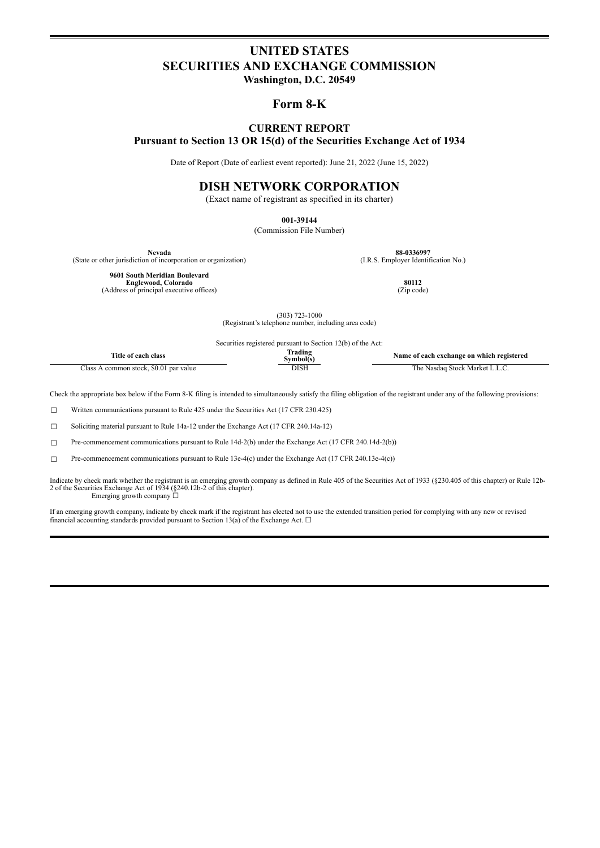# **UNITED STATES SECURITIES AND EXCHANGE COMMISSION**

**Washington, D.C. 20549**

## **Form 8-K**

## **CURRENT REPORT Pursuant to Section 13 OR 15(d) of the Securities Exchange Act of 1934**

Date of Report (Date of earliest event reported): June 21, 2022 (June 15, 2022)

# **DISH NETWORK CORPORATION**

(Exact name of registrant as specified in its charter)

**001-39144**

(Commission File Number)

(State or other jurisdiction of incorporation or organization)

**Nevada 88-0336997**<br> **1.R.S. Employer Identification No.** (I.R.S. Employer Identification No.)

**9601 South Meridian Boulevard Englewood, Colorado 80112**<br>
(Address of principal executive offices) (Zip code) (Zip code)

(303) 723-1000 (Registrant's telephone number, including area code)

Securities registered pursuant to Section 12(b) of the Act:

| 'itle of<br>. class<br>.n each-             | rading<br>symbol(s | f each exchange on which registered<br>Name of |
|---------------------------------------------|--------------------|------------------------------------------------|
| . \$0.01 par value<br>common stock.<br>lass | DISE               | ⊧ Stock Market L<br>he<br>Nasdad<br>.          |

Check the appropriate box below if the Form 8-K filing is intended to simultaneously satisfy the filing obligation of the registrant under any of the following provisions:

☐ Written communications pursuant to Rule 425 under the Securities Act (17 CFR 230.425)

☐ Soliciting material pursuant to Rule 14a-12 under the Exchange Act (17 CFR 240.14a-12)

☐ Pre-commencement communications pursuant to Rule 14d-2(b) under the Exchange Act (17 CFR 240.14d-2(b))

 $\Box$  Pre-commencement communications pursuant to Rule 13e-4(c) under the Exchange Act (17 CFR 240.13e-4(c))

Indicate by check mark whether the registrant is an emerging growth company as defined in Rule 405 of the Securities Act of 1933 (§230.405 of this chapter) or Rule 12b-<br>2 of the Securities Exchange Act of 1934 (§240.12b-2 Emerging growth company ☐

If an emerging growth company, indicate by check mark if the registrant has elected not to use the extended transition period for complying with any new or revised financial accounting standards provided pursuant to Section 13(a) of the Exchange Act.  $\square$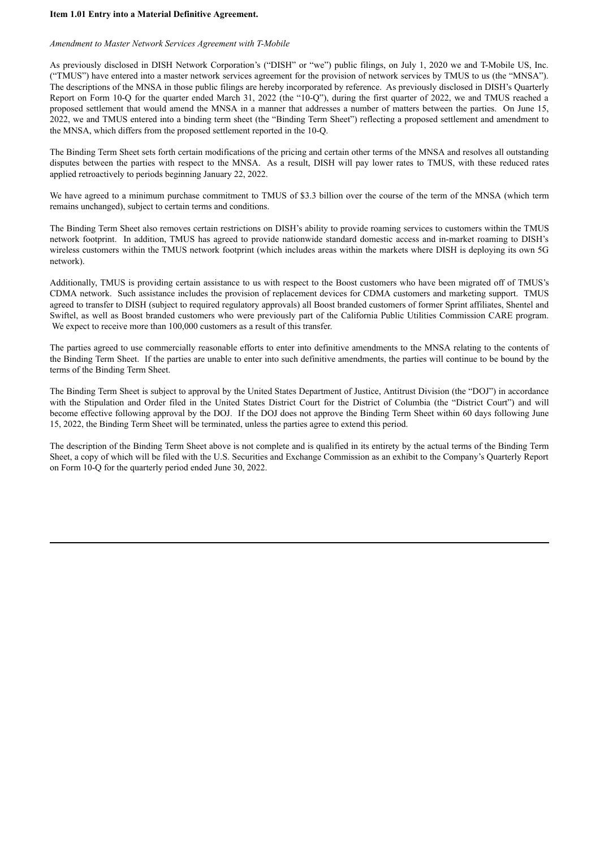#### **Item 1.01 Entry into a Material Definitive Agreement.**

## *Amendment to Master Network Services Agreement with T-Mobile*

As previously disclosed in DISH Network Corporation's ("DISH" or "we") public filings, on July 1, 2020 we and T-Mobile US, Inc. ("TMUS") have entered into a master network services agreement for the provision of network services by TMUS to us (the "MNSA"). The descriptions of the MNSA in those public filings are hereby incorporated by reference. As previously disclosed in DISH's Quarterly Report on Form 10-Q for the quarter ended March 31, 2022 (the "10-Q"), during the first quarter of 2022, we and TMUS reached a proposed settlement that would amend the MNSA in a manner that addresses a number of matters between the parties. On June 15, 2022, we and TMUS entered into a binding term sheet (the "Binding Term Sheet") reflecting a proposed settlement and amendment to the MNSA, which differs from the proposed settlement reported in the 10-Q.

The Binding Term Sheet sets forth certain modifications of the pricing and certain other terms of the MNSA and resolves all outstanding disputes between the parties with respect to the MNSA. As a result, DISH will pay lower rates to TMUS, with these reduced rates applied retroactively to periods beginning January 22, 2022.

We have agreed to a minimum purchase commitment to TMUS of \$3.3 billion over the course of the term of the MNSA (which term remains unchanged), subject to certain terms and conditions.

The Binding Term Sheet also removes certain restrictions on DISH's ability to provide roaming services to customers within the TMUS network footprint. In addition, TMUS has agreed to provide nationwide standard domestic access and in-market roaming to DISH's wireless customers within the TMUS network footprint (which includes areas within the markets where DISH is deploying its own 5G network).

Additionally, TMUS is providing certain assistance to us with respect to the Boost customers who have been migrated off of TMUS's CDMA network. Such assistance includes the provision of replacement devices for CDMA customers and marketing support. TMUS agreed to transfer to DISH (subject to required regulatory approvals) all Boost branded customers of former Sprint affiliates, Shentel and Swiftel, as well as Boost branded customers who were previously part of the California Public Utilities Commission CARE program. We expect to receive more than 100,000 customers as a result of this transfer.

The parties agreed to use commercially reasonable efforts to enter into definitive amendments to the MNSA relating to the contents of the Binding Term Sheet. If the parties are unable to enter into such definitive amendments, the parties will continue to be bound by the terms of the Binding Term Sheet.

The Binding Term Sheet is subject to approval by the United States Department of Justice, Antitrust Division (the "DOJ") in accordance with the Stipulation and Order filed in the United States District Court for the District of Columbia (the "District Court") and will become effective following approval by the DOJ. If the DOJ does not approve the Binding Term Sheet within 60 days following June 15, 2022, the Binding Term Sheet will be terminated, unless the parties agree to extend this period.

The description of the Binding Term Sheet above is not complete and is qualified in its entirety by the actual terms of the Binding Term Sheet, a copy of which will be filed with the U.S. Securities and Exchange Commission as an exhibit to the Company's Quarterly Report on Form 10-Q for the quarterly period ended June 30, 2022.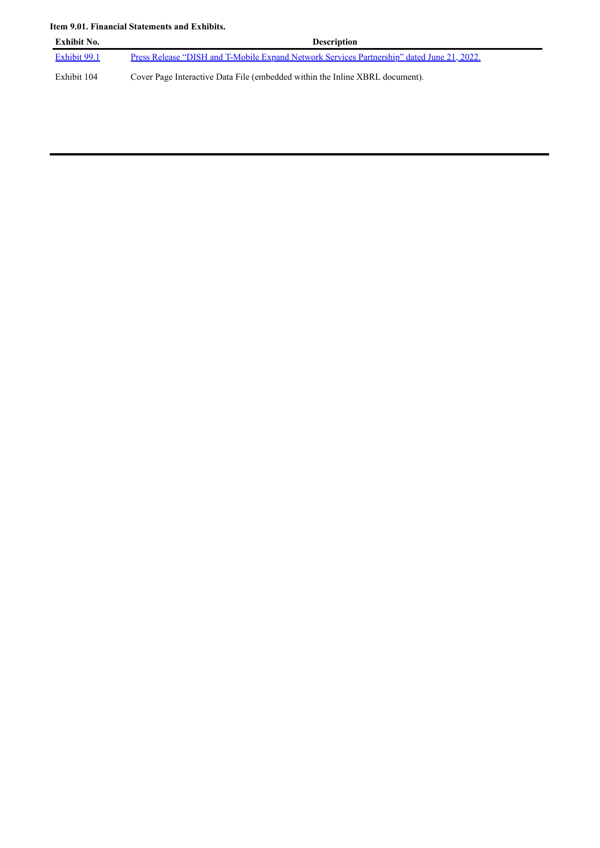## **Item 9.01. Financial Statements and Exhibits.**

| Exhibit No.  | <b>Description</b>                                                                         |
|--------------|--------------------------------------------------------------------------------------------|
| Exhibit 99.1 | Press Release "DISH and T-Mobile Expand Network Services Partnership" dated June 21, 2022. |
| Exhibit 104  | Cover Page Interactive Data File (embedded within the Inline XBRL document).               |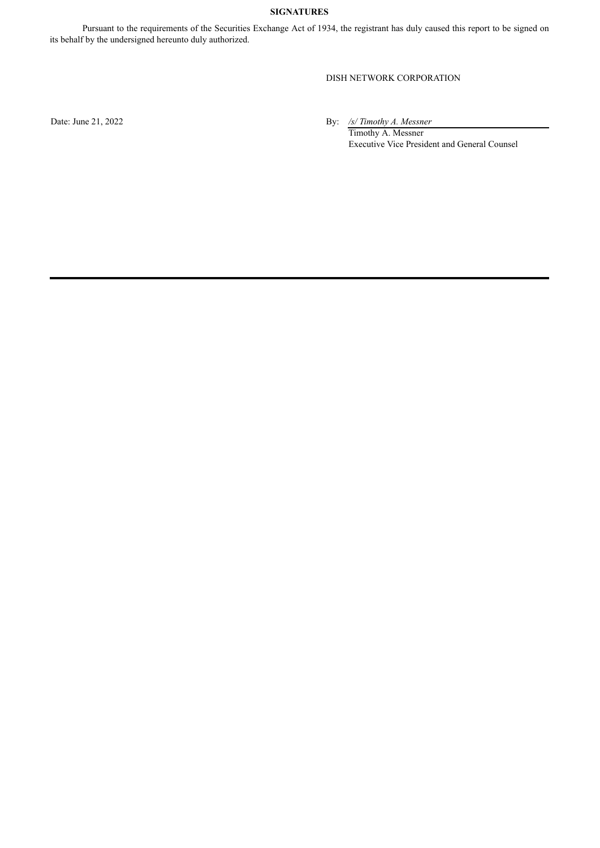## **SIGNATURES**

Pursuant to the requirements of the Securities Exchange Act of 1934, the registrant has duly caused this report to be signed on its behalf by the undersigned hereunto duly authorized.

### DISH NETWORK CORPORATION

Date: June 21, 2022 By: */s/ Timothy A. Messner*

Timothy A. Messner Executive Vice President and General Counsel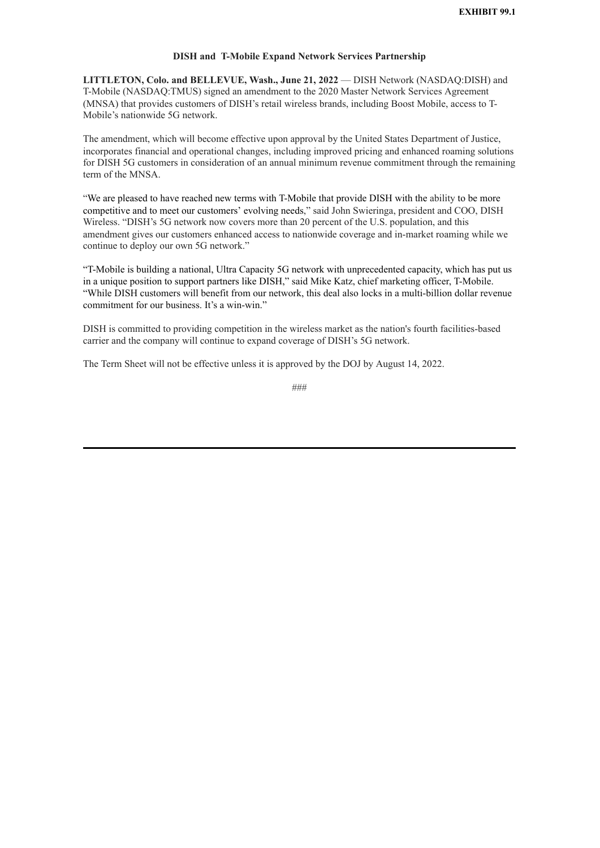#### **DISH and T-Mobile Expand Network Services Partnership**

<span id="page-4-0"></span>**LITTLETON, Colo. and BELLEVUE, Wash., June 21, 2022** — DISH Network (NASDAQ:DISH) and T-Mobile (NASDAQ:TMUS) signed an amendment to the 2020 Master Network Services Agreement (MNSA) that provides customers of DISH's retail wireless brands, including Boost Mobile, access to T-Mobile's nationwide 5G network.

The amendment, which will become effective upon approval by the United States Department of Justice, incorporates financial and operational changes, including improved pricing and enhanced roaming solutions for DISH 5G customers in consideration of an annual minimum revenue commitment through the remaining term of the MNSA

"We are pleased to have reached new terms with T-Mobile that provide DISH with the ability to be more competitive and to meet our customers' evolving needs," said John Swieringa, president and COO, DISH Wireless. "DISH's 5G network now covers more than 20 percent of the U.S. population, and this amendment gives our customers enhanced access to nationwide coverage and in-market roaming while we continue to deploy our own 5G network."

"T-Mobile is building a national, Ultra Capacity 5G network with unprecedented capacity, which has put us in a unique position to support partners like DISH," said Mike Katz, chief marketing officer, T-Mobile. "While DISH customers will benefit from our network, this deal also locks in a multi-billion dollar revenue commitment for our business. It's a win-win."

DISH is committed to providing competition in the wireless market as the nation's fourth facilities-based carrier and the company will continue to expand coverage of DISH's 5G network.

The Term Sheet will not be effective unless it is approved by the DOJ by August 14, 2022.

###